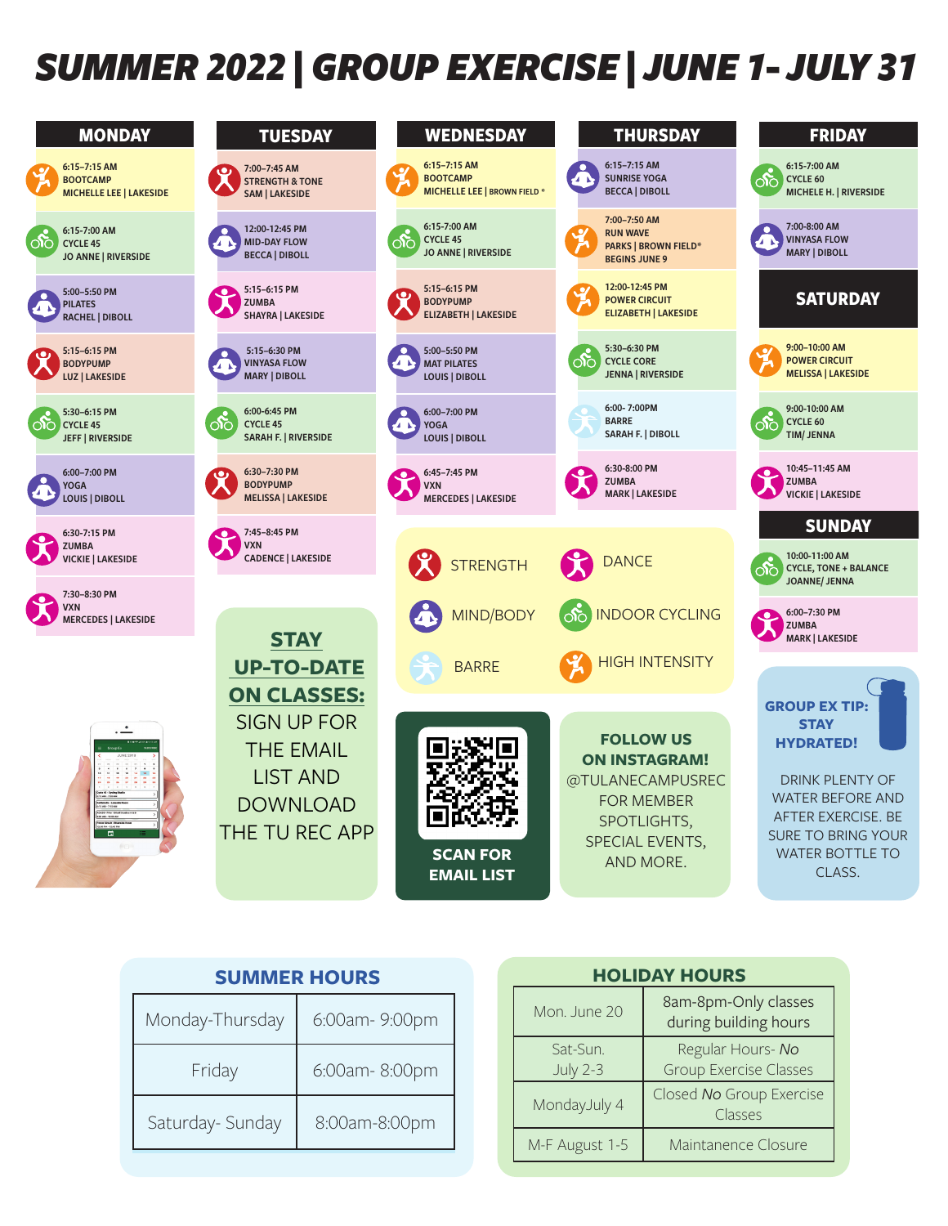## *SUMMER 2022 | GROUP EXERCISE | JUNE 1- JULY 31*

| <b>MONDAY</b>                                                       | <b>TUESDAY</b>                                                             | <b>WEDNESDAY</b>                                                          | <b>THURSDAY</b>                                                                        | <b>FRIDAY</b>                                                                 |
|---------------------------------------------------------------------|----------------------------------------------------------------------------|---------------------------------------------------------------------------|----------------------------------------------------------------------------------------|-------------------------------------------------------------------------------|
| 6:15-7:15 AM<br><b>BOOTCAMP</b><br><b>MICHELLE LEE   LAKESIDE</b>   | 7:00-7:45 AM<br><b>STRENGTH &amp; TONE</b><br><b>SAM   LAKESIDE</b>        | 6:15-7:15 AM<br><b>BOOTCAMP</b><br><b>MICHELLE LEE   BROWN FIELD *</b>    | 6:15-7:15 AM<br><b>SUNRISE YOGA</b><br>4 N<br><b>BECCA   DIBOLL</b>                    | 6:15-7:00 AM<br>$\infty$<br><b>CYCLE 60</b><br>MICHELE H.   RIVERSIDE         |
| 6:15-7:00 AM<br>ीं<br><b>CYCLE 45</b><br><b>JO ANNE   RIVERSIDE</b> | 12:00-12:45 PM<br><b>MID-DAY FLOW</b><br><b>BECCA   DIBOLL</b>             | 6:15-7:00 AM<br>$\infty$<br><b>CYCLE 45</b><br><b>JO ANNE   RIVERSIDE</b> | 7:00-7:50 AM<br><b>RUN WAVE</b><br><b>PARKS   BROWN FIELD*</b><br><b>BEGINS JUNE 9</b> | 7:00-8:00 AM<br><b>VINYASA FLOW</b><br><b>MARY   DIBOLL</b>                   |
| 5:00-5:50 PM<br><b>PILATES</b><br><b>RACHEL   DIBOLL</b>            | 5:15-6:15 PM<br><b>ZUMBA</b><br><b>SHAYRA   LAKESIDE</b>                   | 5:15-6:15 PM<br><b>BODYPUMP</b><br><b>ELIZABETH   LAKESIDE</b>            | 12:00-12:45 PM<br><b>POWER CIRCUIT</b><br><b>ELIZABETH   LAKESIDE</b>                  | <b>SATURDAY</b>                                                               |
| 5:15-6:15 PM<br><b>BODYPUMP</b><br>LUZ   LAKESIDE                   | 5:15-6:30 PM<br><b>VINYASA FLOW</b><br><b>MARY   DIBOLL</b>                | 5:00-5:50 PM<br><b>MAT PILATES</b><br><b>LOUIS   DIBOLL</b>               | 5:30-6:30 PM<br>$\infty$<br><b>CYCLE CORE</b><br><b>JENNA   RIVERSIDE</b>              | 9:00-10:00 AM<br><b>POWER CIRCUIT</b><br><b>MELISSA   LAKESIDE</b>            |
| 5:30-6:15 PM<br>റ്റ<br><b>CYCLE 45</b><br><b>JEFF   RIVERSIDE</b>   | 6:00-6:45 PM<br>$\infty$<br><b>CYCLE 45</b><br><b>SARAH F.   RIVERSIDE</b> | 6:00-7:00 PM<br><b>YOGA</b><br><b>LOUIS   DIBOLL</b>                      | 6:00-7:00PM<br><b>BARRE</b><br><b>SARAH F.   DIBOLL</b>                                | 9:00-10:00 AM<br>CYCLE 60<br>ාිර<br><b>TIM/ JENNA</b>                         |
| 6:00-7:00 PM<br>YOGA<br>LOUIS   DIBOLL                              | 6:30-7:30 PM<br><b>BODYPUMP</b><br><b>MELISSA   LAKESIDE</b>               | 6:45-7:45 PM<br><b>VXN</b><br><b>MERCEDES   LAKESIDE</b>                  | 6:30-8:00 PM<br><b>ZUMBA</b><br><b>MARK   LAKESIDE</b>                                 | 10:45-11:45 AM<br>$\bullet$<br><b>ZUMBA</b><br><b>VICKIE   LAKESIDE</b>       |
| 6:30-7:15 PM                                                        | 7:45-8:45 PM<br>$\bullet$ .                                                |                                                                           |                                                                                        | <b>SUNDAY</b>                                                                 |
| ZUMBA<br><b>VICKIE   LAKESIDE</b>                                   | <b>VXN</b><br><b>CADENCE   LAKESIDE</b>                                    | <b>STRENGTH</b>                                                           | <b>DANCE</b>                                                                           | 10:00-11:00 AM<br>ාරි<br><b>CYCLE, TONE + BALANCE</b><br><b>JOANNE/ JENNA</b> |
| 7:30-8:30 PM<br>VXN<br><b>MERCEDES   LAKESIDE</b>                   | <b>STAY</b>                                                                | MIND/BODY                                                                 | <b>INDOOR CYCLING</b>                                                                  | 6:00-7:30 PM<br><b>ZUMBA</b><br><b>MARK   LAKESIDE</b>                        |
|                                                                     | <b>UP-TO-DATE</b>                                                          | <b>BARRE</b>                                                              | <b>HIGH INTENSITY</b>                                                                  |                                                                               |
|                                                                     | <b>ON CLASSES:</b>                                                         |                                                                           |                                                                                        |                                                                               |
|                                                                     | <b>SIGN UP FOR</b>                                                         |                                                                           |                                                                                        | <b>GROUP EX TIP:</b>                                                          |
|                                                                     | <b>THE EMAIL</b>                                                           |                                                                           | <b>FOLLOW US</b>                                                                       | <b>STAY</b><br><b>HYDRATED!</b>                                               |
|                                                                     |                                                                            |                                                                           | <b>ON INSTAGRAM!</b>                                                                   |                                                                               |
|                                                                     | <b>LIST AND</b>                                                            |                                                                           | @TULANECAMPUSREC<br><b>FOR MEMBER</b>                                                  | <b>DRINK PLENTY OF</b><br><b>WATER BEFORE AND</b>                             |
|                                                                     | <b>DOWNLOAD</b>                                                            |                                                                           | SPOTLIGHTS,                                                                            | AFTER EXERCISE, BE                                                            |
| $\blacksquare$                                                      | THE TU REC APP                                                             |                                                                           | SPECIAL EVENTS,                                                                        | <b>SURE TO BRING YOUR</b>                                                     |
|                                                                     |                                                                            | <b>SCAN FOR</b><br><b>EMAIL LIST</b>                                      | AND MORE.                                                                              | <b>WATER BOTTLE TO</b><br>CLASS.                                              |
|                                                                     |                                                                            |                                                                           |                                                                                        |                                                                               |

| <b>SUMMER HOURS</b>               |               |                             | <b>HOLIDAY HOURS</b>             |                           |
|-----------------------------------|---------------|-----------------------------|----------------------------------|---------------------------|
| Monday-Thursday                   | 6:00am-9:00pm |                             | Mon. June 20                     | 8am-8pm-O<br>during build |
| 6:00am-8:00pm<br>Friday           |               | Sat-Sun.<br><b>July 2-3</b> | Regular Ho<br><b>Group Exerc</b> |                           |
| Saturday- Sunday<br>8:00am-8:00pm |               |                             | MondayJuly 4                     | Closed No Gro<br>Class    |
|                                   |               |                             | M-F August 1-5                   | Maintanenc                |

| <b>HOLIDAY HOURS</b>        |                                                    |  |  |  |
|-----------------------------|----------------------------------------------------|--|--|--|
| Mon. June 20                | 8am-8pm-Only classes<br>during building hours      |  |  |  |
| Sat-Sun.<br><b>July 2-3</b> | Regular Hours- No<br><b>Group Exercise Classes</b> |  |  |  |
| MondayJuly 4                | Closed No Group Exercise<br>Classes                |  |  |  |
| M-F August 1-5              | Maintanence Closure                                |  |  |  |